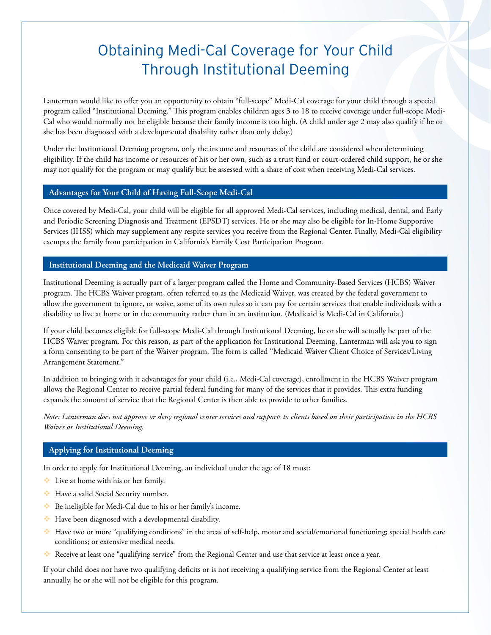# Obtaining Medi-Cal Coverage for Your Child Through Institutional Deeming

Lanterman would like to offer you an opportunity to obtain "full-scope" Medi-Cal coverage for your child through a special program called "Institutional Deeming." This program enables children ages 3 to 18 to receive coverage under full-scope Medi-Cal who would normally not be eligible because their family income is too high. (A child under age 2 may also qualify if he or she has been diagnosed with a developmental disability rather than only delay.)

Under the Institutional Deeming program, only the income and resources of the child are considered when determining eligibility. If the child has income or resources of his or her own, such as a trust fund or court-ordered child support, he or she may not qualify for the program or may qualify but be assessed with a share of cost when receiving Medi-Cal services.

# **Advantages for Your Child of Having Full-Scope Medi-Cal**

Once covered by Medi-Cal, your child will be eligible for all approved Medi-Cal services, including medical, dental, and Early and Periodic Screening Diagnosis and Treatment (EPSDT) services. He or she may also be eligible for In-Home Supportive Services (IHSS) which may supplement any respite services you receive from the Regional Center. Finally, Medi-Cal eligibility exempts the family from participation in California's Family Cost Participation Program.

# **Institutional Deeming and the Medicaid Waiver Program**

Institutional Deeming is actually part of a larger program called the Home and Community-Based Services (HCBS) Waiver program. The HCBS Waiver program, often referred to as the Medicaid Waiver, was created by the federal government to allow the government to ignore, or waive, some of its own rules so it can pay for certain services that enable individuals with a disability to live at home or in the community rather than in an institution. (Medicaid is Medi-Cal in California.)

If your child becomes eligible for full-scope Medi-Cal through Institutional Deeming, he or she will actually be part of the HCBS Waiver program. For this reason, as part of the application for Institutional Deeming, Lanterman will ask you to sign a form consenting to be part of the Waiver program. The form is called "Medicaid Waiver Client Choice of Services/Living Arrangement Statement."

In addition to bringing with it advantages for your child (i.e., Medi-Cal coverage), enrollment in the HCBS Waiver program allows the Regional Center to receive partial federal funding for many of the services that it provides. This extra funding expands the amount of service that the Regional Center is then able to provide to other families.

*Note: Lanterman does not approve or deny regional center services and supports to clients based on their participation in the HCBS Waiver or Institutional Deeming.*

# **Applying for Institutional Deeming**

In order to apply for Institutional Deeming, an individual under the age of 18 must:

- Live at home with his or her family.
- Have a valid Social Security number.
- Be ineligible for Medi-Cal due to his or her family's income.
- Have been diagnosed with a developmental disability.
- Have two or more "qualifying conditions" in the areas of self-help, motor and social/emotional functioning; special health care conditions; or extensive medical needs.
- Receive at least one "qualifying service" from the Regional Center and use that service at least once a year.

If your child does not have two qualifying deficits or is not receiving a qualifying service from the Regional Center at least annually, he or she will not be eligible for this program.